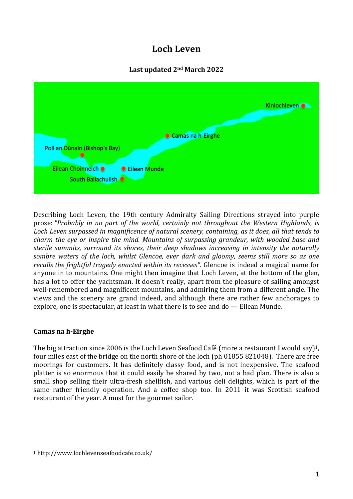# **Loch Leven**

# **Last updated 2nd March 2022**



Describing Loch Leven, the 19th century Admiralty Sailing Directions strayed into purple prose: *"Probably in no part of the world, certainly not throughout the Western Highlands, is Loch Leven surpassed in magnificence of natural scenery, containing, as it does, all that tends to charm the eye or inspire the mind. Mountains of surpassing grandeur, with wooded base and sterile summits, surround its shores, their deep shadows increasing in intensity the naturally sombre waters of the loch, whilst Glencoe, ever dark and gloomy, seems still more so as one recalls the frightful tragedy enacted within its recesses".* Glencoe is indeed a magical name for anyone in to mountains. One might then imagine that Loch Leven, at the bottom of the glen, has a lot to offer the yachtsman. It doesn't really, apart from the pleasure of sailing amongst well-remembered and magnificent mountains, and admiring them from a different angle. The views and the scenery are grand indeed, and although there are rather few anchorages to explore, one is spectacular, at least in what there is to see and do — Eilean Munde.

## **Camas na h-Eirghe**

The big attraction since 2006 is the Loch Leven Seafood Café (more a restaurant I would say)<sup>1</sup>. four miles east of the bridge on the north shore of the loch (ph 01855 821048). There are free moorings for customers. It has definitely classy food, and is not inexpensive. The seafood platter is so enormous that it could easily be shared by two, not a bad plan. There is also a small shop selling their ultra-fresh shellfish, and various deli delights, which is part of the same rather friendly operation. And a coffee shop too. In 2011 it was Scottish seafood restaurant of the year. A must for the gourmet sailor.

 

<sup>1</sup> http://www.lochlevenseafoodcafe.co.uk/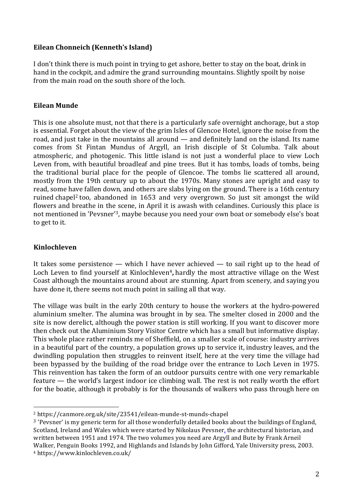## **Eilean Chonneich (Kenneth's Island)**

I don't think there is much point in trying to get ashore, better to stay on the boat, drink in hand in the cockpit, and admire the grand surrounding mountains. Slightly spoilt by noise from the main road on the south shore of the loch.

#### **Eilean Munde**

This is one absolute must, not that there is a particularly safe overnight anchorage, but a stop is essential. Forget about the view of the grim Isles of Glencoe Hotel, ignore the noise from the road, and just take in the mountains all around — and definitely land on the island. Its name comes from St Fintan Mundus of Argyll, an Irish disciple of St Columba. Talk about atmospheric, and photogenic. This little island is not just a wonderful place to view Loch Leven from, with beautiful broadleaf and pine trees. But it has tombs, loads of tombs, being the traditional burial place for the people of Glencoe. The tombs lie scattered all around, mostly from the 19th century up to about the 1970s. Many stones are upright and easy to read, some have fallen down, and others are slabs lying on the ground. There is a 16th century ruined chapel2 too, abandoned in 1653 and very overgrown. So just sit amongst the wild flowers and breathe in the scene, in April it is awash with celandines. Curiously this place is not mentioned in 'Pevsner'3, maybe because you need your own boat or somebody else's boat to get to it.

#### **Kinlochleven**

 

It takes some persistence — which I have never achieved — to sail right up to the head of Loch Leven to find yourself at Kinlochleven<sup>4</sup>, hardly the most attractive village on the West Coast although the mountains around about are stunning. Apart from scenery, and saying you have done it, there seems not much point in sailing all that way.

The village was built in the early 20th century to house the workers at the hydro-powered aluminium smelter. The alumina was brought in by sea. The smelter closed in 2000 and the site is now derelict, although the power station is still working. If you want to discover more then check out the Aluminium Story Visitor Centre which has a small but informative display. This whole place rather reminds me of Sheffield, on a smaller scale of course: industry arrives in a beautiful part of the country, a population grows up to service it, industry leaves, and the dwindling population then struggles to reinvent itself, here at the very time the village had been bypassed by the building of the road bridge over the entrance to Loch Leven in 1975. This reinvention has taken the form of an outdoor pursuits centre with one very remarkable feature — the world's largest indoor ice climbing wall. The rest is not really worth the effort for the boatie, although it probably is for the thousands of walkers who pass through here on

<sup>2</sup> https://canmore.org.uk/site/23541/eilean-munde-st-munds-chapel

<sup>3</sup> 'Pevsner' is my generic term for all those wonderfully detailed books about the buildings of England, Scotland, Ireland and Wales which were started by Nikolaus Pevsner, the architectural historian, and written between 1951 and 1974. The two volumes you need are Argyll and Bute by Frank Arneil Walker, Penguin Books 1992, and Highlands and Islands by John Gifford, Yale University press, 2003. <sup>4</sup> https://www.kinlochleven.co.uk/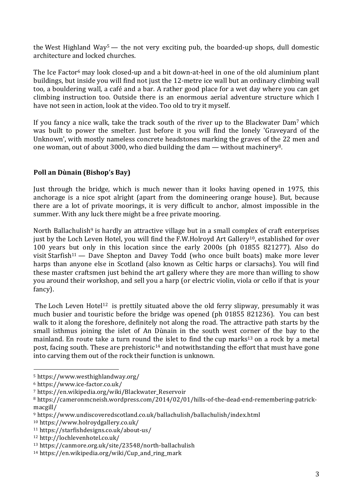the West Highland Way<sup>5</sup> — the not very exciting pub, the boarded-up shops, dull domestic architecture and locked churches.

The Ice Factor<sup>6</sup> may look closed-up and a bit down-at-heel in one of the old aluminium plant buildings, but inside you will find not just the 12-metre ice wall but an ordinary climbing wall too, a bouldering wall, a café and a bar. A rather good place for a wet day where you can get climbing instruction too. Outside there is an enormous aerial adventure structure which I have not seen in action, look at the video. Too old to try it myself.

If you fancy a nice walk, take the track south of the river up to the Blackwater Dam7 which was built to power the smelter. Just before it you will find the lonely 'Graveyard of the Unknown', with mostly nameless concrete headstones marking the graves of the 22 men and one woman, out of about 3000, who died building the dam — without machinery8.

## **Poll an Dùnain (Bishop's Bay)**

Just through the bridge, which is much newer than it looks having opened in 1975, this anchorage is a nice spot alright (apart from the domineering orange house). But, because there are a lot of private moorings, it is very difficult to anchor, almost impossible in the summer. With any luck there might be a free private mooring.

North Ballachulish<sup>9</sup> is hardly an attractive village but in a small complex of craft enterprises just by the Loch Leven Hotel, you will find the F.W.Holroyd Art Gallery<sup>10</sup>, established for over 100 years but only in this location since the early 2000s (ph 01855 821277). Also do visit Starfish<sup>11</sup> — Dave Shepton and Davey Todd (who once built boats) make more lever harps than anyone else in Scotland (also known as Celtic harps or clarsachs). You will find these master craftsmen just behind the art gallery where they are more than willing to show you around their workshop, and sell you a harp (or electric violin, viola or cello if that is your fancy).

The Loch Leven Hotel<sup>12</sup> is prettily situated above the old ferry slipway, presumably it was much busier and touristic before the bridge was opened (ph 01855 821236). You can best walk to it along the foreshore, definitely not along the road. The attractive path starts by the small isthmus joining the islet of An Dùnain in the south west corner of the bay to the mainland. En route take a turn round the islet to find the cup marks<sup>13</sup> on a rock by a metal post, facing south. These are prehistoric<sup>14</sup> and notwithstanding the effort that must have gone into carving them out of the rock their function is unknown.

 

<sup>5</sup> https://www.westhighlandway.org/

<sup>6</sup> https://www.ice-factor.co.uk/

<sup>7</sup> https://en.wikipedia.org/wiki/Blackwater\_Reservoir

<sup>8</sup> https://cameronmcneish.wordpress.com/2014/02/01/hills-of-the-dead-end-remembering-patrickmacgill/

<sup>9</sup> https://www.undiscoveredscotland.co.uk/ballachulish/ballachulish/index.html

<sup>10</sup> https://www.holroydgallery.co.uk/

<sup>11</sup> https://starfishdesigns.co.uk/about-us/

<sup>12</sup> http://lochlevenhotel.co.uk/

<sup>13</sup> https://canmore.org.uk/site/23548/north-ballachulish

<sup>14</sup> https://en.wikipedia.org/wiki/Cup\_and\_ring\_mark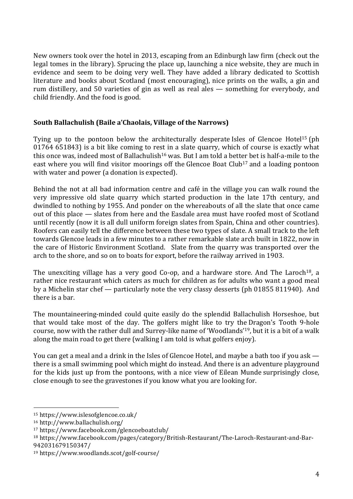New owners took over the hotel in 2013, escaping from an Edinburgh law firm (check out the legal tomes in the library). Sprucing the place up, launching a nice website, they are much in evidence and seem to be doing very well. They have added a library dedicated to Scottish literature and books about Scotland (most encouraging), nice prints on the walls, a gin and rum distillery, and 50 varieties of gin as well as real ales — something for everybody, and child friendly. And the food is good.

### **South Ballachulish (Baile a'Chaolais, Village of the Narrows)**

Tying up to the pontoon below the architecturally desperate Isles of Glencoe Hotel<sup>15</sup> (ph 01764 651843) is a bit like coming to rest in a slate quarry, which of course is exactly what this once was, indeed most of Ballachulish<sup>16</sup> was. But I am told a better bet is half-a-mile to the east where you will find visitor moorings off the Glencoe Boat Club<sup>17</sup> and a loading pontoon with water and power (a donation is expected).

Behind the not at all bad information centre and café in the village you can walk round the very impressive old slate quarry which started production in the late 17th century, and dwindled to nothing by 1955. And ponder on the whereabouts of all the slate that once came out of this place — slates from here and the Easdale area must have roofed most of Scotland until recently (now it is all dull uniform foreign slates from Spain, China and other countries). Roofers can easily tell the difference between these two types of slate. A small track to the left towards Glencoe leads in a few minutes to a rather remarkable slate arch built in 1822, now in the care of Historic Environment Scotland. Slate from the quarry was transported over the arch to the shore, and so on to boats for export, before the railway arrived in 1903.

The unexciting village has a very good Co-op, and a hardware store. And The Laroch<sup>18</sup>, a rather nice restaurant which caters as much for children as for adults who want a good meal by a Michelin star chef — particularly note the very classy desserts (ph 01855 811940). And there is a bar.

The mountaineering-minded could quite easily do the splendid Ballachulish Horseshoe, but that would take most of the day. The golfers might like to try the Dragon's Tooth 9-hole course, now with the rather dull and Surrey-like name of 'Woodlands'19, but it is a bit of a walk along the main road to get there (walking I am told is what golfers enjoy).

You can get a meal and a drink in the Isles of Glencoe Hotel, and maybe a bath too if you ask there is a small swimming pool which might do instead. And there is an adventure playground for the kids just up from the pontoons, with a nice view of Eilean Munde surprisingly close, close enough to see the gravestones if you know what you are looking for.

 

<sup>15</sup> https://www.islesofglencoe.co.uk/

<sup>16</sup> http://www.ballachulish.org/

<sup>17</sup> https://www.facebook.com/glencoeboatclub/

<sup>18</sup> https://www.facebook.com/pages/category/British-Restaurant/The-Laroch-Restaurant-and-Bar-942031679150347/

<sup>19</sup> https://www.woodlands.scot/golf-course/